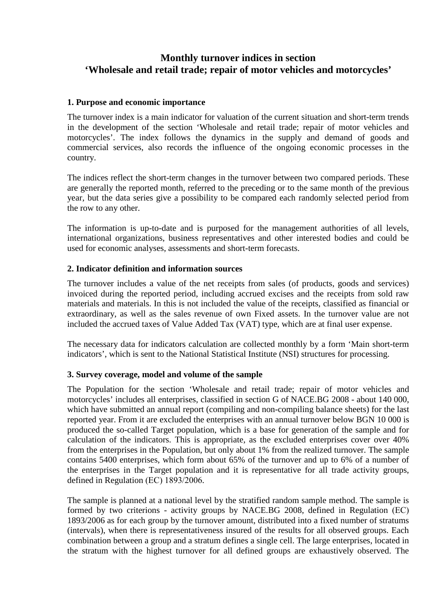# **Monthly turnover indices in section 'Wholesale and retail trade; repair of motor vehicles and motorcycles'**

# **1. Purpose and economic importance**

The turnover index is a main indicator for valuation of the current situation and short-term trends in the development of the section 'Wholesale and retail trade; repair of motor vehicles and motorcycles'. The index follows the dynamics in the supply and demand of goods and commercial services, also records the influence of the ongoing economic processes in the country.

The indices reflect the short-term changes in the turnover between two compared periods. These are generally the reported month, referred to the preceding or to the same month of the previous year, but the data series give a possibility to be compared each randomly selected period from the row to any other.

The information is up-to-date and is purposed for the management authorities of all levels, international organizations, business representatives and other interested bodies and could be used for economic analyses, assessments and short-term forecasts.

# **2. Indicator definition and information sources**

The turnover includes a value of the net receipts from sales (of products, goods and services) invoiced during the reported period, including accrued excises and the receipts from sold raw materials and materials. In this is not included the value of the receipts, classified as financial or extraordinary, as well as the sales revenue of own Fixed assets. In the turnover value are not included the accrued taxes of Value Added Tax (VAT) type, which are at final user expense.

The necessary data for indicators calculation are collected monthly by a form 'Main short-term indicators', which is sent to the National Statistical Institute (NSI) structures for processing.

## **3. Survey coverage, model and volume of the sample**

The Population for the section 'Wholesale and retail trade; repair of motor vehicles and motorcycles' includes all enterprises, classified in section G of NACE.BG 2008 - about 140 000, which have submitted an annual report (compiling and non-compiling balance sheets) for the last reported year. From it are excluded the enterprises with an annual turnover below BGN 10 000 is produced the so-called Target population, which is a base for generation of the sample and for calculation of the indicators. This is appropriate, as the excluded enterprises cover over 40% from the enterprises in the Population, but only about 1% from the realized turnover. The sample contains 5400 enterprises, which form about 65% of the turnover and up to 6% of a number of the enterprises in the Target population and it is representative for all trade activity groups, defined in Regulation (ЕС) 1893/2006.

The sample is planned at a national level by the stratified random sample method. The sample is formed by two criterions - activity groups by NACE.BG 2008, defined in Regulation (ЕС) 1893/2006 as for each group by the turnover amount, distributed into a fixed number of stratums (intervals), when there is representativeness insured of the results for all observed groups. Each combination between a group and a stratum defines a single cell. The large enterprises, located in the stratum with the highest turnover for all defined groups are exhaustively observed. The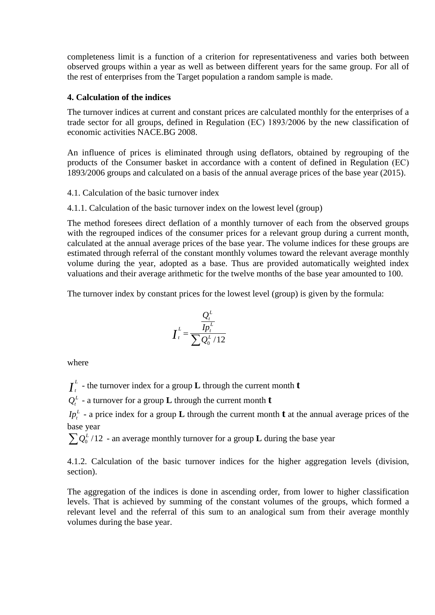completeness limit is a function of a criterion for representativeness and varies both between observed groups within a year as well as between different years for the same group. For all of the rest of enterprises from the Target population a random sample is made.

# **4. Calculation of the indices**

The turnover indices at current and constant prices are calculated monthly for the enterprises of a trade sector for all groups, defined in Regulation (ЕС) 1893/2006 by the new classification of economic activities NACE.BG 2008.

An influence of prices is eliminated through using deflators, obtained by regrouping of the products of the Consumer basket in accordance with a content of defined in Regulation (ЕС) 1893/2006 groups and calculated on a basis of the annual average prices of the base year (2015).

4.1. Calculation of the basic turnover index

4.1.1. Calculation of the basic turnover index on the lowest level (group)

The method foresees direct deflation of a monthly turnover of each from the observed groups with the regrouped indices of the consumer prices for a relevant group during a current month, calculated at the annual average prices of the base year. The volume indices for these groups are estimated through referral of the constant monthly volumes toward the relevant average monthly volume during the year, adopted as a base. Thus are provided automatically weighted index valuations and their average arithmetic for the twelve months of the base year amounted to 100.

The turnover index by constant prices for the lowest level (group) is given by the formula:

$$
I_t^L = \frac{\frac{Q_t^L}{I p_t^L}}{\sum_{i} Q_0^L / 12}
$$

where

 $I_t^L$  - the turnover index for a group **L** through the current month **t** 

 $Q_t^L$  - a turnover for a group **L** through the current month **t** 

 $I p_t^L$  - a price index for a group **L** through the current month **t** at the annual average prices of the base year

 $\sum Q_0^L/12$  - an average monthly turnover for a group **L** during the base year

4.1.2. Calculation of the basic turnover indices for the higher aggregation levels (division, section).

The aggregation of the indices is done in ascending order, from lower to higher classification levels. That is achieved by summing of the constant volumes of the groups, which formed a relevant level and the referral of this sum to an analogical sum from their average monthly volumes during the base year.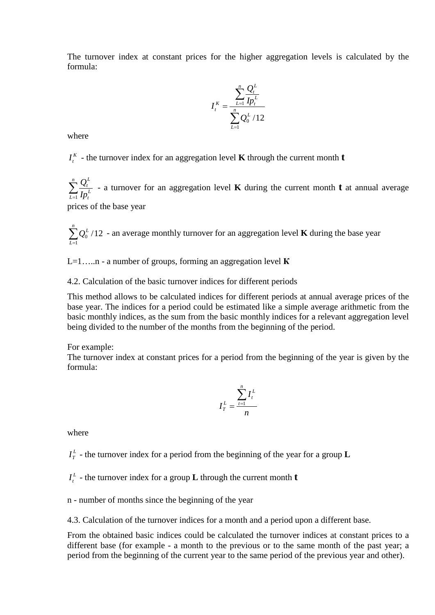The turnover index at constant prices for the higher aggregation levels is calculated by the formula:

$$
I_t^K = \frac{\sum_{L=1}^n \frac{Q_t^L}{I p_t^L}}{\sum_{L=1}^n Q_0^L / 12}
$$

where

 $I_t^K$  - the turnover index for an aggregation level **K** through the current month **t** 

 $\sum_{L=1}^n$  $\sum_{L=1}$   $I p_t^L$ *t L t Ip Q* 1 - a turnover for an aggregation level **K** during the current month **t** at annual average

prices of the base year

 $\sum_{L=1}^{n} Q_0^L / 12$  - an average monthly turnover for an aggregation level **K** during the base year *L* 1

L=1…..n - a number of groups, forming an aggregation level **К**

4.2. Calculation of the basic turnover indices for different periods

This method allows to be calculated indices for different periods at annual average prices of the base year. The indices for а period could be estimated like a simple average arithmetic from the basic monthly indices, as the sum from the basic monthly indices for a relevant aggregation level being divided to the number of the months from the beginning of the period.

For example:

The turnover index at constant prices for a period from the beginning of the year is given by the formula:

$$
I_T^L = \frac{\sum_{t=1}^n I_t^L}{n}
$$

where

 $I_T^L$  - the turnover index for a period from the beginning of the year for a group **L** 

 $I_t^L$  - the turnover index for a group **L** through the current month **t** 

n - number of months since the beginning of the year

4.3. Calculation of the turnover indices for a month and a period upon a different base.

From the obtained basic indices could be calculated the turnover indices at constant prices to a different base (for example - a month to the previous or to the same month of the past year; a period from the beginning of the current year to the same period of the previous year and other).